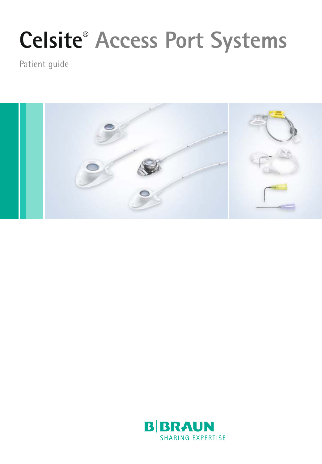# **Celsite® Access Port Systems**

Patient guide



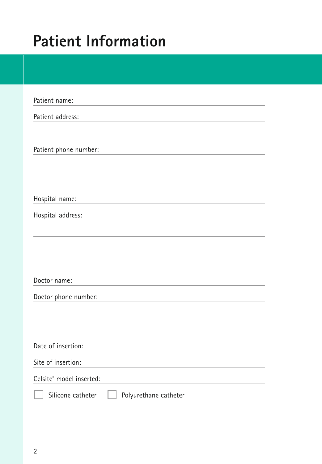### **Patient Information**

| Patient name:                              |
|--------------------------------------------|
| Patient address:                           |
|                                            |
| Patient phone number:                      |
|                                            |
|                                            |
| Hospital name:                             |
| Hospital address:                          |
|                                            |
|                                            |
|                                            |
| Doctor name:                               |
| Doctor phone number:                       |
|                                            |
|                                            |
| Date of insertion:                         |
| Site of insertion:                         |
| Celsite® model inserted:                   |
| Silicone catheter<br>Polyurethane catheter |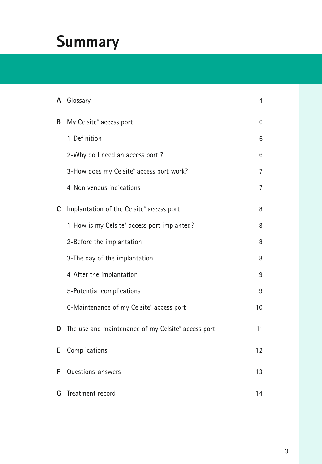### **Summary**

|   | A Glossary                                         | $\overline{4}$   |
|---|----------------------------------------------------|------------------|
| В | My Celsite® access port                            | 6                |
|   | 1-Definition                                       | 6                |
|   | 2-Why do I need an access port?                    | 6                |
|   | 3-How does my Celsite® access port work?           | $\overline{7}$   |
|   | 4-Non venous indications                           | $\overline{7}$   |
| c | Implantation of the Celsite® access port           | 8                |
|   | 1-How is my Celsite® access port implanted?        | 8                |
|   | 2-Before the implantation                          | 8                |
|   | 3-The day of the implantation                      | 8                |
|   | 4-After the implantation                           | 9                |
|   | 5-Potential complications                          | 9                |
|   | 6-Maintenance of my Celsite® access port           | 10 <sup>10</sup> |
| D | The use and maintenance of my Celsite® access port | 11               |
| Е | Complications                                      | 12               |
| F | Questions-answers                                  | 13               |
|   | <b>G</b> Treatment record                          | 14               |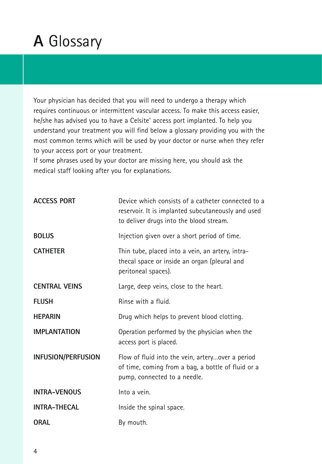### **A** Glossary

Your physician has decided that you will need to undergo a therapy which requires continuous or intermittent vascular access. To make this access easier, he/she has advised you to have a Celsite® access port implanted. To help you understand your treatment you will find below a glossary providing you with the most common terms which will be used by your doctor or nurse when they refer to your access port or your treatment.

If some phrases used by your doctor are missing here, you should ask the medical staff looking after you for explanations.

| <b>ACCESS PORT</b>   | Device which consists of a catheter connected to a<br>reservoir. It is implanted subcutaneously and used<br>to deliver drugs into the blood stream. |
|----------------------|-----------------------------------------------------------------------------------------------------------------------------------------------------|
| <b>BOLUS</b>         | Injection given over a short period of time.                                                                                                        |
| <b>CATHETER</b>      | Thin tube, placed into a vein, an artery, intra-<br>thecal space or inside an organ (pleural and<br>peritoneal spaces).                             |
| <b>CENTRAL VEINS</b> | Large, deep veins, close to the heart.                                                                                                              |
| <b>FLUSH</b>         | Rinse with a fluid.                                                                                                                                 |
| <b>HEPARIN</b>       | Drug which helps to prevent blood clotting.                                                                                                         |
| <b>IMPLANTATION</b>  | Operation performed by the physician when the<br>access port is placed.                                                                             |
| INFUSION/PERFUSION   | Flow of fluid into the vein, arteryover a period<br>of time, coming from a bag, a bottle of fluid or a<br>pump, connected to a needle.              |
| <b>INTRA-VENOUS</b>  | Into a vein.                                                                                                                                        |
| <b>INTRA-THECAL</b>  | Inside the spinal space.                                                                                                                            |
| ORAL                 | By mouth.                                                                                                                                           |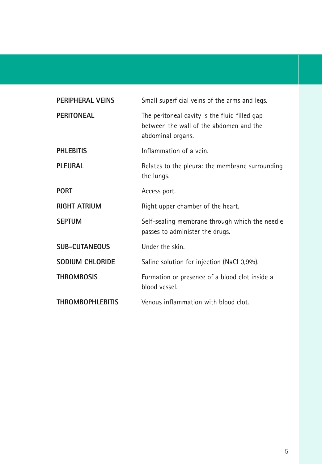| PERIPHERAL VEINS        | Small superficial veins of the arms and legs.                                                                 |
|-------------------------|---------------------------------------------------------------------------------------------------------------|
| <b>PERITONEAL</b>       | The peritoneal cavity is the fluid filled gap<br>between the wall of the abdomen and the<br>abdominal organs. |
| <b>PHLEBITIS</b>        | Inflammation of a vein.                                                                                       |
| PLEURAL                 | Relates to the pleura: the membrane surrounding<br>the lungs.                                                 |
| <b>PORT</b>             | Access port.                                                                                                  |
| <b>RIGHT ATRIUM</b>     | Right upper chamber of the heart.                                                                             |
| <b>SEPTUM</b>           | Self-sealing membrane through which the needle<br>passes to administer the drugs.                             |
| <b>SUB-CUTANEOUS</b>    | Under the skin.                                                                                               |
| SODIUM CHLORIDE         | Saline solution for injection (NaCl 0,9%).                                                                    |
| <b>THROMBOSIS</b>       | Formation or presence of a blood clot inside a<br>blood vessel.                                               |
| <b>THROMBOPHLEBITIS</b> | Venous inflammation with blood clot.                                                                          |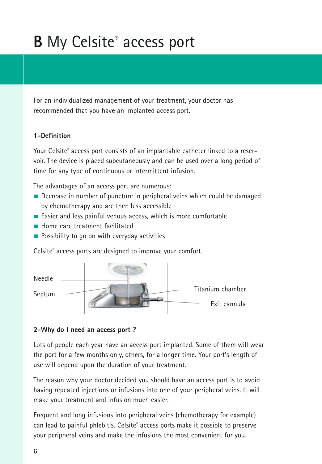## **B** My Celsite® access port

For an individualized management of your treatment, your doctor has recommended that you have an implanted access port.

#### **1-Definition**

Your Celsite® access port consists of an implantable catheter linked to a reservoir. The device is placed subcutaneously and can be used over a long period of time for any type of continuous or intermittent infusion.

The advantages of an access port are numerous:

- Decrease in number of puncture in peripheral veins which could be damaged by chemotherapy and are then less accessible
- Easier and less painful venous access, which is more comfortable
- Home care treatment facilitated
- $\blacksquare$  Possibility to go on with everyday activities

Celsite® access ports are designed to improve your comfort.



#### **2-Why do I need an access port ?**

Lots of people each year have an access port implanted. Some of them will wear the port for a few months only, others, for a longer time. Your port's length of use will depend upon the duration of your treatment.

The reason why your doctor decided you should have an access port is to avoid having repeated injections or infusions into one of your peripheral veins. It will make your treatment and infusion much easier.

Frequent and long infusions into peripheral veins (chemotherapy for example) can lead to painful phlebitis. Celsite® access ports make it possible to preserve your peripheral veins and make the infusions the most convenient for you.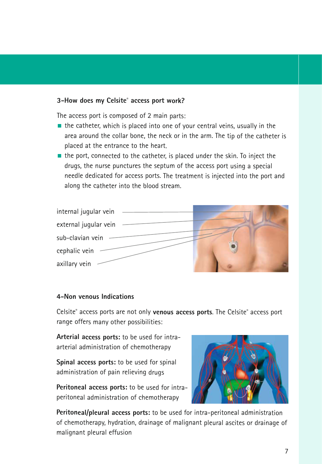#### **3-How does my Celsite® access port work?**

The access port is composed of 2 main parts:

- $\blacksquare$  the catheter, which is placed into one of your central veins, usually in the area around the collar bone, the neck or in the arm. The tip of the catheter is placed at the entrance to the heart.
- $\blacksquare$  the port, connected to the catheter, is placed under the skin. To inject the drugs, the nurse punctures the septum of the access port using a special needle dedicated for access ports. The treatment is injected into the port and along the catheter into the blood stream.



#### **4-Non venous Indications**

Celsite® access ports are not only **venous access ports**. The Celsite® access port range offers many other possibilities:

**Arterial access ports:** to be used for intraarterial administration of chemotherapy

**Spinal access ports:** to be used for spinal administration of pain relieving drugs

**Peritoneal access ports:** to be used for intraperitoneal administration of chemotherapy



**Peritoneal/pleural access ports:** to be used for intra-peritoneal administration of chemotherapy, hydration, drainage of malignant pleural ascites or drainage of malignant pleural effusion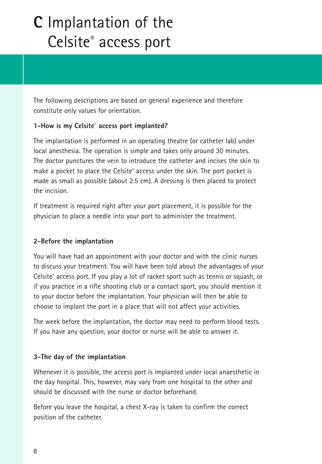### **C** Implantation of the Celsite® access port

The following descriptions are based on general experience and therefore constitute only values for orientation.

#### **1-How is my Celsite® access port implanted?**

The implantation is performed in an operating theatre (or catheter lab) under local anesthesia. The operation is simple and takes only around 30 minutes. The doctor punctures the vein to introduce the catheter and incises the skin to make a pocket to place the Celsite® access under the skin. The port pocket is made as small as possible (about 2.5 cm). A dressing is then placed to protect the incision.

If treatment is required right after your port placement, it is possible for the physician to place a needle into your port to administer the treatment.

#### **2-Before the implantation**

You will have had an appointment with your doctor and with the clinic nurses to discuss your treatment. You will have been told about the advantages of your Celsite® access port. If you play a lot of racket sport such as tennis or squash, or if you practice in a rifle shooting club or a contact sport, you should mention it to your doctor before the implantation. Your physician will then be able to choose to implant the port in a place that will not affect your activities.

The week before the implantation, the doctor may need to perform blood tests. If you have any question, your doctor or nurse will be able to answer it.

#### **3-The day of the implantation**

Whenever it is possible, the access port is implanted under local anaesthetic in the day hospital. This, however, may vary from one hospital to the other and should be discussed with the nurse or doctor beforehand.

Before you leave the hospital, a chest X-ray is taken to confirm the correct position of the catheter.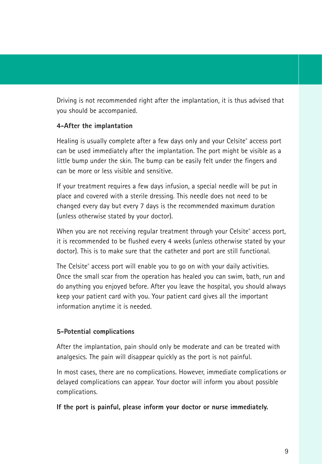Driving is not recommended right after the implantation, it is thus advised that you should be accompanied.

#### **4-After the implantation**

Healing is usually complete after a few days only and your Celsite® access port can be used immediately after the implantation. The port might be visible as a little bump under the skin. The bump can be easily felt under the fingers and can be more or less visible and sensitive.

If your treatment requires a few days infusion, a special needle will be put in place and covered with a sterile dressing. This needle does not need to be changed every day but every 7 days is the recommended maximum duration (unless otherwise stated by your doctor).

When you are not receiving regular treatment through your Celsite® access port, it is recommended to be flushed every 4 weeks (unless otherwise stated by your doctor). This is to make sure that the catheter and port are still functional.

The Celsite® access port will enable you to go on with your daily activities. Once the small scar from the operation has healed you can swim, bath, run and do anything you enjoyed before. After you leave the hospital, you should always keep your patient card with you. Your patient card gives all the important information anytime it is needed.

#### **5-Potential complications**

After the implantation, pain should only be moderate and can be treated with analgesics. The pain will disappear quickly as the port is not painful.

In most cases, there are no complications. However, immediate complications or delayed complications can appear. Your doctor will inform you about possible complications.

**If the port is painful, please inform your doctor or nurse immediately.**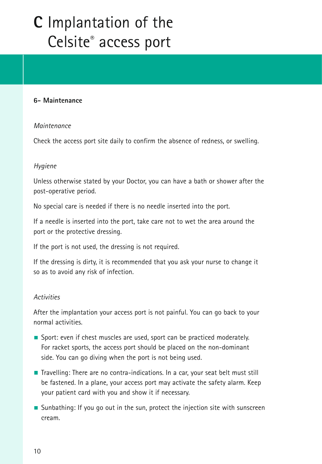### **C** Implantation of the Celsite® access port

#### **6- Maintenance**

#### Maintenance

Check the access port site daily to confirm the absence of redness, or swelling.

### *Hygiene*

Unless otherwise stated by your Doctor, you can have a bath or shower after the post-operative period.

No special care is needed if there is no needle inserted into the port.

If a needle is inserted into the port, take care not to wet the area around the port or the protective dressing.

If the port is not used, the dressing is not required.

If the dressing is dirty, it is recommended that you ask your nurse to change it so as to avoid any risk of infection.

#### Activities

After the implantation your access port is not painful. You can go back to your normal activities.

- Sport: even if chest muscles are used, sport can be practiced moderately. For racket sports, the access port should be placed on the non-dominant side. You can go diving when the port is not being used.
- Travelling: There are no contra-indications. In a car, your seat belt must still be fastened. In a plane, your access port may activate the safety alarm. Keep your patient card with you and show it if necessary.
- Sunbathing: If you go out in the sun, protect the injection site with sunscreen cream.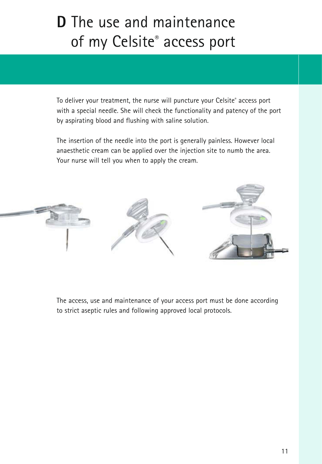### **D** The use and maintenance of my Celsite® access port

To deliver your treatment, the nurse will puncture your Celsite® access port with a special needle. She will check the functionality and patency of the port by aspirating blood and flushing with saline solution.

The insertion of the needle into the port is generally painless. However local anaesthetic cream can be applied over the injection site to numb the area. Your nurse will tell you when to apply the cream.



The access, use and maintenance of your access port must be done according to strict aseptic rules and following approved local protocols.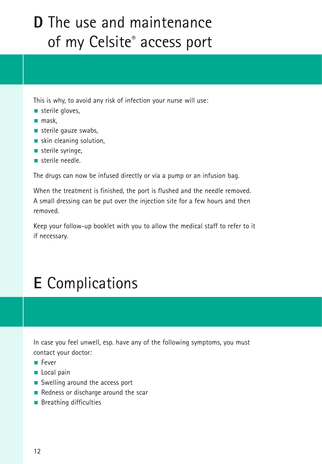### **D** The use and maintenance of my Celsite® access port

This is why, to avoid any risk of infection your nurse will use:

- $\blacksquare$  sterile gloves.
- $m$ ask,
- sterile gauze swabs,
- skin cleaning solution,
- $\blacksquare$  sterile syringe.
- sterile needle

The drugs can now be infused directly or via a pump or an infusion bag.

When the treatment is finished, the port is flushed and the needle removed. A small dressing can be put over the injection site for a few hours and then removed.

Keep your follow-up booklet with you to allow the medical staff to refer to it if necessary.

### **E** Complications

In case you feel unwell, esp. have any of the following symptoms, you must contact your doctor:

- Fever
- Local pain
- Swelling around the access port
- Redness or discharge around the scar
- **Breathing difficulties**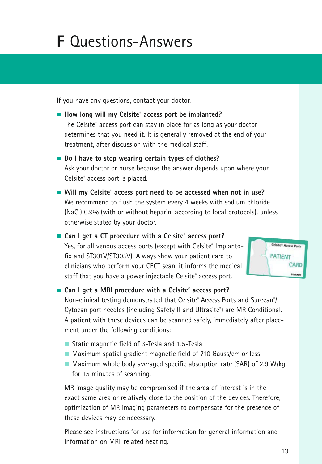### **F** Questions-Answers

If you have any questions, contact your doctor.

- How long will my Celsite<sup>®</sup> access port be implanted? The Celsite® access port can stay in place for as long as your doctor determines that you need it. It is generally removed at the end of your treatment, after discussion with the medical staff.
- **Do I have to stop wearing certain types of clothes?** Ask your doctor or nurse because the answer depends upon where your Celsite<sup>®</sup> access port is placed.
- Will my Celsite<sup>®</sup> access port need to be accessed when not in use? We recommend to flush the system every 4 weeks with sodium chloride (NaCl) 0.9% (with or without heparin, according to local protocols), unless otherwise stated by your doctor.
- Can I get a CT procedure with a Celsite® access port? Yes, for all venous access ports (except with Celsite® Implantofix and ST301V/ST305V). Always show your patient card to clinicians who perform your CECT scan, it informs the medical staff that you have a power injectable Celsite® access port.

Celsite® Access Ports **PATIENT** CARD

■ Can I get a MRI procedure with a Celsite® access port? Non-clinical testing demonstrated that Celsite® Access Ports and Surecan® / Cytocan port needles (including Safety II and Ultrasite® ) are MR Conditional. A patient with these devices can be scanned safely, immediately after placement under the following conditions:

- Static magnetic field of 3-Tesla and 1.5-Tesla
- Maximum spatial gradient magnetic field of 710 Gauss/cm or less
- $\blacksquare$  Maximum whole body averaged specific absorption rate (SAR) of 2.9 W/kg for 15 minutes of scanning.

MR image quality may be compromised if the area of interest is in the exact same area or relatively close to the position of the devices. Therefore, optimization of MR imaging parameters to compensate for the presence of these devices may be necessary.

Please see instructions for use for information for general information and information on MRI-related heating.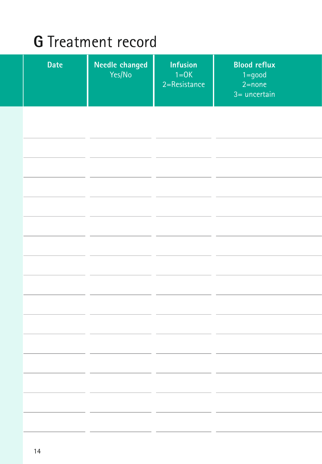### **G** Treatment record

| <b>Date</b> | Needle changed<br>Yes/No | <b>Infusion</b><br>$1=OK$<br>2=Resistance | <b>Blood reflux</b><br>$1 = good$<br>$2 = none$<br>$3=$ uncertain |
|-------------|--------------------------|-------------------------------------------|-------------------------------------------------------------------|
|             |                          |                                           |                                                                   |
|             |                          |                                           |                                                                   |
|             |                          |                                           |                                                                   |
|             |                          |                                           |                                                                   |
|             |                          |                                           |                                                                   |
|             |                          |                                           |                                                                   |
|             |                          |                                           |                                                                   |
|             |                          |                                           |                                                                   |
|             |                          |                                           |                                                                   |
|             |                          |                                           |                                                                   |
|             |                          |                                           |                                                                   |
|             |                          |                                           |                                                                   |
|             |                          |                                           |                                                                   |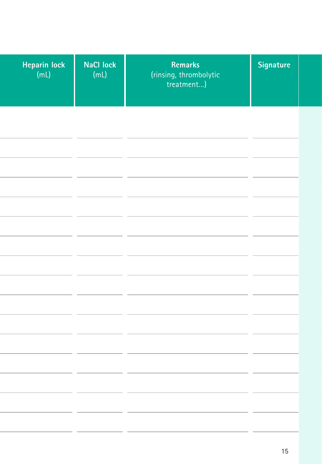| Heparin lock<br>(mL) | <b>NaCl lock</b><br>(mL) | Remarks<br>(rinsing, thrombolytic<br>treatment) | Signature |
|----------------------|--------------------------|-------------------------------------------------|-----------|
|                      |                          |                                                 |           |
|                      |                          |                                                 |           |
|                      |                          |                                                 |           |
|                      |                          |                                                 |           |
|                      |                          |                                                 |           |
|                      |                          |                                                 |           |
|                      |                          |                                                 |           |
|                      |                          |                                                 |           |
|                      |                          |                                                 |           |
|                      |                          |                                                 |           |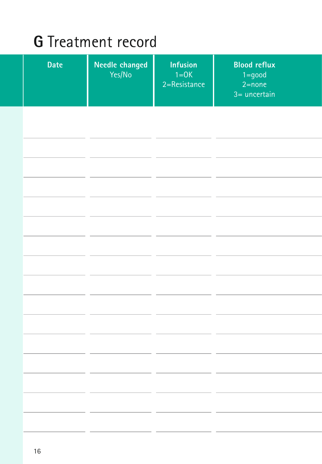### **G** Treatment record

| <b>Date</b> | Needle changed<br>Yes/No | <b>Infusion</b><br>$1=OK$<br>2=Resistance | <b>Blood reflux</b><br>$1 = good$<br>$2 = none$<br>$3=$ uncertain |
|-------------|--------------------------|-------------------------------------------|-------------------------------------------------------------------|
|             |                          |                                           |                                                                   |
|             |                          |                                           |                                                                   |
|             |                          |                                           |                                                                   |
|             |                          |                                           |                                                                   |
|             |                          |                                           |                                                                   |
|             |                          |                                           |                                                                   |
|             |                          |                                           |                                                                   |
|             |                          |                                           |                                                                   |
|             |                          |                                           |                                                                   |
|             |                          |                                           |                                                                   |
|             |                          |                                           |                                                                   |
|             |                          |                                           |                                                                   |
|             |                          |                                           |                                                                   |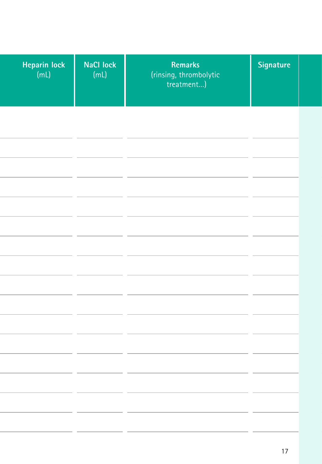| Heparin lock<br>(mL) | <b>NaCl lock</b><br>(mL) | Remarks<br>(rinsing, thrombolytic<br>treatment) | Signature |
|----------------------|--------------------------|-------------------------------------------------|-----------|
|                      |                          |                                                 |           |
|                      |                          |                                                 |           |
|                      |                          |                                                 |           |
|                      |                          |                                                 |           |
|                      |                          |                                                 |           |
|                      |                          |                                                 |           |
|                      |                          |                                                 |           |
|                      |                          |                                                 |           |
|                      |                          |                                                 |           |

l

L

í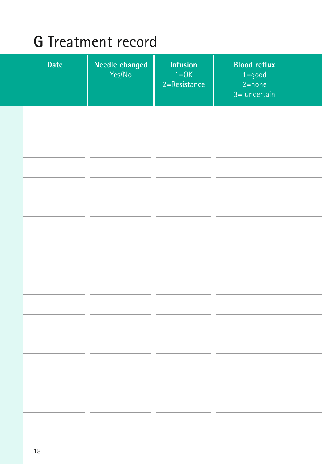### **G** Treatment record

| <b>Date</b> | Needle changed<br>Yes/No | <b>Infusion</b><br>$1=OK$<br>2=Resistance | <b>Blood reflux</b><br>$1 = good$<br>$2 = none$<br>$3=$ uncertain |
|-------------|--------------------------|-------------------------------------------|-------------------------------------------------------------------|
|             |                          |                                           |                                                                   |
|             |                          |                                           |                                                                   |
|             |                          |                                           |                                                                   |
|             |                          |                                           |                                                                   |
|             |                          |                                           |                                                                   |
|             |                          |                                           |                                                                   |
|             |                          |                                           |                                                                   |
|             |                          |                                           |                                                                   |
|             |                          |                                           |                                                                   |
|             |                          |                                           |                                                                   |
|             |                          |                                           |                                                                   |
|             |                          |                                           |                                                                   |
|             |                          |                                           |                                                                   |
|             |                          |                                           |                                                                   |
|             |                          |                                           |                                                                   |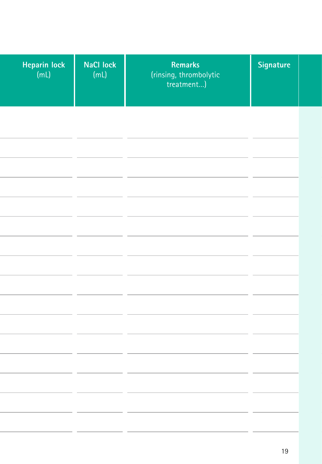| Heparin lock<br>(mL) | <b>NaCl lock</b><br>(mL) | Remarks<br>(rinsing, thrombolytic<br>treatment) | Signature |
|----------------------|--------------------------|-------------------------------------------------|-----------|
|                      |                          |                                                 |           |
|                      |                          |                                                 |           |
|                      |                          |                                                 |           |
|                      |                          |                                                 |           |
|                      |                          |                                                 |           |
|                      |                          |                                                 |           |
|                      |                          |                                                 |           |
|                      |                          |                                                 |           |
|                      |                          |                                                 |           |
|                      |                          |                                                 |           |